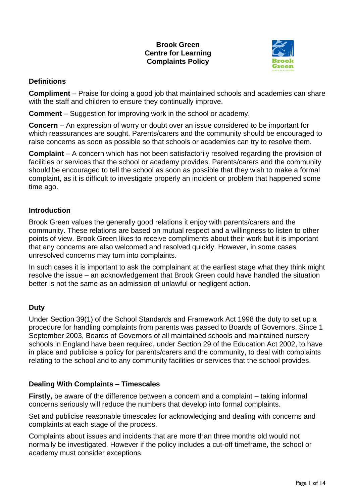### **Brook Green Centre for Learning Complaints Policy**



# **Definitions**

**Compliment** – Praise for doing a good job that maintained schools and academies can share with the staff and children to ensure they continually improve.

**Comment** – Suggestion for improving work in the school or academy.

**Concern** – An expression of worry or doubt over an issue considered to be important for which reassurances are sought. Parents/carers and the community should be encouraged to raise concerns as soon as possible so that schools or academies can try to resolve them.

**Complaint** – A concern which has not been satisfactorily resolved regarding the provision of facilities or services that the school or academy provides. Parents/carers and the community should be encouraged to tell the school as soon as possible that they wish to make a formal complaint, as it is difficult to investigate properly an incident or problem that happened some time ago.

### **Introduction**

Brook Green values the generally good relations it enjoy with parents/carers and the community. These relations are based on mutual respect and a willingness to listen to other points of view. Brook Green likes to receive compliments about their work but it is important that any concerns are also welcomed and resolved quickly. However, in some cases unresolved concerns may turn into complaints.

In such cases it is important to ask the complainant at the earliest stage what they think might resolve the issue – an acknowledgement that Brook Green could have handled the situation better is not the same as an admission of unlawful or negligent action.

## **Duty**

Under Section 39(1) of the School Standards and Framework Act 1998 the duty to set up a procedure for handling complaints from parents was passed to Boards of Governors. Since 1 September 2003, Boards of Governors of all maintained schools and maintained nursery schools in England have been required, under Section 29 of the Education Act 2002, to have in place and publicise a policy for parents/carers and the community, to deal with complaints relating to the school and to any community facilities or services that the school provides.

## **Dealing With Complaints – Timescales**

**Firstly, be aware of the difference between a concern and a complaint – taking informal** concerns seriously will reduce the numbers that develop into formal complaints.

Set and publicise reasonable timescales for acknowledging and dealing with concerns and complaints at each stage of the process.

Complaints about issues and incidents that are more than three months old would not normally be investigated. However if the policy includes a cut-off timeframe, the school or academy must consider exceptions.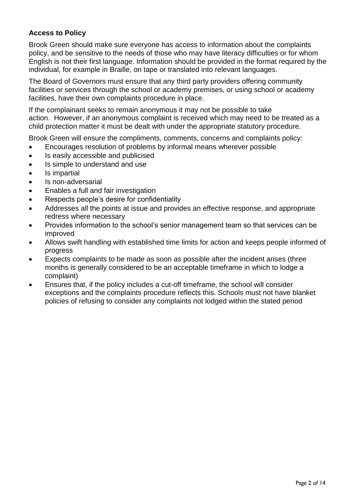## **Access to Policy**

Brook Green should make sure everyone has access to information about the complaints policy, and be sensitive to the needs of those who may have literacy difficulties or for whom English is not their first language. Information should be provided in the format required by the individual, for example in Braille, on tape or translated into relevant languages.

The Board of Governors must ensure that any third party providers offering community facilities or services through the school or academy premises, or using school or academy facilities, have their own complaints procedure in place.

If the complainant seeks to remain anonymous it may not be possible to take action. However, if an anonymous complaint is received which may need to be treated as a child protection matter it must be dealt with under the appropriate statutory procedure.

Brook Green will ensure the compliments, comments, concerns and complaints policy:

- Encourages resolution of problems by informal means wherever possible
- Is easily accessible and publicised
- Is simple to understand and use
- Is impartial
- Is non-adversarial
- Enables a full and fair investigation
- Respects people's desire for confidentiality
- Addresses all the points at issue and provides an effective response, and appropriate redress where necessary
- Provides information to the school's senior management team so that services can be improved
- Allows swift handling with established time limits for action and keeps people informed of progress
- Expects complaints to be made as soon as possible after the incident arises (three months is generally considered to be an acceptable timeframe in which to lodge a complaint)
- Ensures that, if the policy includes a cut-off timeframe, the school will consider exceptions and the complaints procedure reflects this. Schools must not have blanket policies of refusing to consider any complaints not lodged within the stated period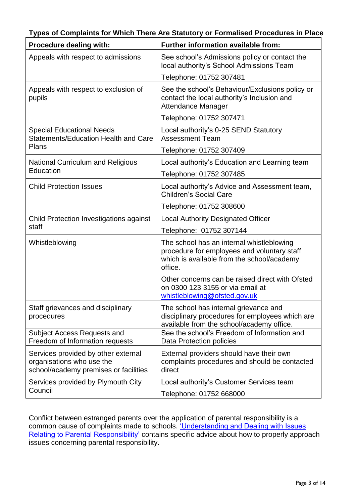| Procedure dealing with:                                                                                   | Further information available from:                                                                                                               |
|-----------------------------------------------------------------------------------------------------------|---------------------------------------------------------------------------------------------------------------------------------------------------|
| Appeals with respect to admissions                                                                        | See school's Admissions policy or contact the<br>local authority's School Admissions Team                                                         |
|                                                                                                           | Telephone: 01752 307481                                                                                                                           |
| Appeals with respect to exclusion of<br>pupils                                                            | See the school's Behaviour/Exclusions policy or<br>contact the local authority's Inclusion and<br><b>Attendance Manager</b>                       |
|                                                                                                           | Telephone: 01752 307471                                                                                                                           |
| <b>Special Educational Needs</b><br><b>Statements/Education Health and Care</b><br>Plans                  | Local authority's 0-25 SEND Statutory<br><b>Assessment Team</b>                                                                                   |
|                                                                                                           | Telephone: 01752 307409                                                                                                                           |
| <b>National Curriculum and Religious</b><br>Education                                                     | Local authority's Education and Learning team                                                                                                     |
|                                                                                                           | Telephone: 01752 307485                                                                                                                           |
| <b>Child Protection Issues</b>                                                                            | Local authority's Advice and Assessment team,<br><b>Children's Social Care</b>                                                                    |
|                                                                                                           | Telephone: 01752 308600                                                                                                                           |
| Child Protection Investigations against<br>staff                                                          | <b>Local Authority Designated Officer</b>                                                                                                         |
|                                                                                                           | Telephone: 01752 307144                                                                                                                           |
| Whistleblowing                                                                                            | The school has an internal whistleblowing<br>procedure for employees and voluntary staff<br>which is available from the school/academy<br>office. |
|                                                                                                           | Other concerns can be raised direct with Ofsted<br>on 0300 123 3155 or via email at<br>whistleblowing@ofsted.gov.uk                               |
| Staff grievances and disciplinary<br>procedures                                                           | The school has internal grievance and<br>disciplinary procedures for employees which are<br>available from the school/academy office.             |
| <b>Subject Access Requests and</b><br>Freedom of Information requests                                     | See the school's Freedom of Information and<br>Data Protection policies                                                                           |
| Services provided by other external<br>organisations who use the<br>school/academy premises or facilities | External providers should have their own<br>complaints procedures and should be contacted<br>direct                                               |
| Services provided by Plymouth City<br>Council                                                             | Local authority's Customer Services team<br>Telephone: 01752 668000                                                                               |

Conflict between estranged parents over the application of parental responsibility is a common cause of complaints made to schools. 'Understanding and Dealing with Issues [Relating to Parental Responsibility'](https://www.gov.uk/government/publications/dealing-with-issues-relating-to-parental-responsibility) contains specific advice about how to properly approach issues concerning parental responsibility.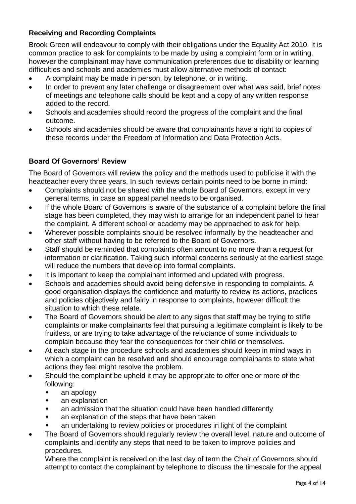# **Receiving and Recording Complaints**

Brook Green will endeavour to comply with their obligations under the Equality Act 2010. It is common practice to ask for complaints to be made by using a complaint form or in writing, however the complainant may have communication preferences due to disability or learning difficulties and schools and academies must allow alternative methods of contact:

- A complaint may be made in person, by telephone, or in writing.
- In order to prevent any later challenge or disagreement over what was said, brief notes of meetings and telephone calls should be kept and a copy of any written response added to the record.
- Schools and academies should record the progress of the complaint and the final outcome.
- Schools and academies should be aware that complainants have a right to copies of these records under the Freedom of Information and Data Protection Acts.

## **Board Of Governors' Review**

The Board of Governors will review the policy and the methods used to publicise it with the headteacher every three years, In such reviews certain points need to be borne in mind:

- Complaints should not be shared with the whole Board of Governors, except in very general terms, in case an appeal panel needs to be organised.
- If the whole Board of Governors is aware of the substance of a complaint before the final stage has been completed, they may wish to arrange for an independent panel to hear the complaint. A different school or academy may be approached to ask for help.
- Wherever possible complaints should be resolved informally by the headteacher and other staff without having to be referred to the Board of Governors.
- Staff should be reminded that complaints often amount to no more than a request for information or clarification. Taking such informal concerns seriously at the earliest stage will reduce the numbers that develop into formal complaints.
- It is important to keep the complainant informed and updated with progress.
- Schools and academies should avoid being defensive in responding to complaints. A good organisation displays the confidence and maturity to review its actions, practices and policies objectively and fairly in response to complaints, however difficult the situation to which these relate.
- The Board of Governors should be alert to any signs that staff may be trying to stifle complaints or make complainants feel that pursuing a legitimate complaint is likely to be fruitless, or are trying to take advantage of the reluctance of some individuals to complain because they fear the consequences for their child or themselves.
- At each stage in the procedure schools and academies should keep in mind ways in which a complaint can be resolved and should encourage complainants to state what actions they feel might resolve the problem.
- Should the complaint be upheld it may be appropriate to offer one or more of the following:
	- an apology
	- an explanation
	- an admission that the situation could have been handled differently
	- an explanation of the steps that have been taken
	- an undertaking to review policies or procedures in light of the complaint
- The Board of Governors should regularly review the overall level, nature and outcome of complaints and identify any steps that need to be taken to improve policies and procedures.

Where the complaint is received on the last day of term the Chair of Governors should attempt to contact the complainant by telephone to discuss the timescale for the appeal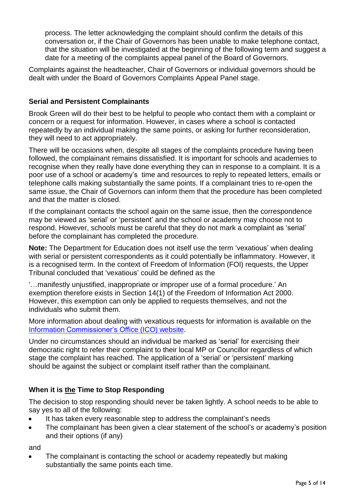process. The letter acknowledging the complaint should confirm the details of this conversation or, if the Chair of Governors has been unable to make telephone contact, that the situation will be investigated at the beginning of the following term and suggest a date for a meeting of the complaints appeal panel of the Board of Governors.

Complaints against the headteacher, Chair of Governors or individual governors should be dealt with under the Board of Governors Complaints Appeal Panel stage.

### **Serial and Persistent Complainants**

Brook Green will do their best to be helpful to people who contact them with a complaint or concern or a request for information. However, in cases where a school is contacted repeatedly by an individual making the same points, or asking for further reconsideration, they will need to act appropriately.

There will be occasions when, despite all stages of the complaints procedure having been followed, the complainant remains dissatisfied. It is important for schools and academies to recognise when they really have done everything they can in response to a complaint. It is a poor use of a school or academy's time and resources to reply to repeated letters, emails or telephone calls making substantially the same points. If a complainant tries to re-open the same issue, the Chair of Governors can inform them that the procedure has been completed and that the matter is closed.

If the complainant contacts the school again on the same issue, then the correspondence may be viewed as 'serial' or 'persistent' and the school or academy may choose not to respond. However, schools must be careful that they do not mark a complaint as 'serial' before the complainant has completed the procedure.

**Note:** The Department for Education does not itself use the term 'vexatious' when dealing with serial or persistent correspondents as it could potentially be inflammatory. However, it is a recognised term. In the context of Freedom of Information (FOI) requests, the Upper Tribunal concluded that 'vexatious' could be defined as the

'…manifestly unjustified, inappropriate or improper use of a formal procedure.' An exemption therefore exists in Section 14(1) of the Freedom of Information Act 2000. However, this exemption can only be applied to requests themselves, and not the individuals who submit them.

More information about dealing with vexatious requests for information is available on the Information [Commissioner's Office](https://ico.org.uk/media/1198/dealing-with-vexatious-requests.pdf) (ICO) website.

Under no circumstances should an individual be marked as 'serial' for exercising their democratic right to refer their complaint to their local MP or Councillor regardless of which stage the complaint has reached. The application of a 'serial' or 'persistent' marking should be against the subject or complaint itself rather than the complainant.

## **When it is the Time to Stop Responding**

The decision to stop responding should never be taken lightly. A school needs to be able to say yes to all of the following:

- It has taken every reasonable step to address the complainant's needs
- The complainant has been given a clear statement of the school's or academy's position and their options (if any)

and

 The complainant is contacting the school or academy repeatedly but making substantially the same points each time.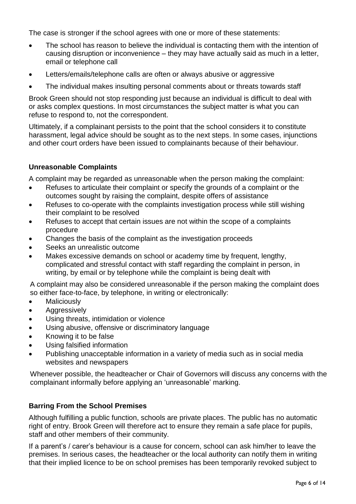The case is stronger if the school agrees with one or more of these statements:

- The school has reason to believe the individual is contacting them with the intention of causing disruption or inconvenience – they may have actually said as much in a letter, email or telephone call
- Letters/emails/telephone calls are often or always abusive or aggressive
- The individual makes insulting personal comments about or threats towards staff

Brook Green should not stop responding just because an individual is difficult to deal with or asks complex questions. In most circumstances the subject matter is what you can refuse to respond to, not the correspondent.

Ultimately, if a complainant persists to the point that the school considers it to constitute harassment, legal advice should be sought as to the next steps. In some cases, injunctions and other court orders have been issued to complainants because of their behaviour.

### **Unreasonable Complaints**

A complaint may be regarded as unreasonable when the person making the complaint:

- Refuses to articulate their complaint or specify the grounds of a complaint or the outcomes sought by raising the complaint, despite offers of assistance
- Refuses to co-operate with the complaints investigation process while still wishing their complaint to be resolved
- Refuses to accept that certain issues are not within the scope of a complaints procedure
- Changes the basis of the complaint as the investigation proceeds
- Seeks an unrealistic outcome
- Makes excessive demands on school or academy time by frequent, lengthy, complicated and stressful contact with staff regarding the complaint in person, in writing, by email or by telephone while the complaint is being dealt with

A complaint may also be considered unreasonable if the person making the complaint does so either face-to-face, by telephone, in writing or electronically:

- **Maliciously**
- Aggressively
- Using threats, intimidation or violence
- Using abusive, offensive or discriminatory language
- Knowing it to be false
- Using falsified information
- Publishing unacceptable information in a variety of media such as in social media websites and newspapers

Whenever possible, the headteacher or Chair of Governors will discuss any concerns with the complainant informally before applying an 'unreasonable' marking.

#### **Barring From the School Premises**

Although fulfilling a public function, schools are private places. The public has no automatic right of entry. Brook Green will therefore act to ensure they remain a safe place for pupils, staff and other members of their community.

If a parent's / carer's behaviour is a cause for concern, school can ask him/her to leave the premises. In serious cases, the headteacher or the local authority can notify them in writing that their implied licence to be on school premises has been temporarily revoked subject to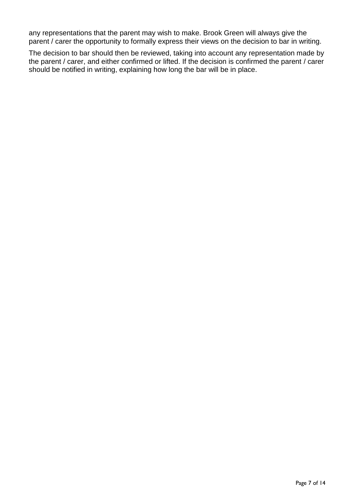any representations that the parent may wish to make. Brook Green will always give the parent / carer the opportunity to formally express their views on the decision to bar in writing.

The decision to bar should then be reviewed, taking into account any representation made by the parent / carer, and either confirmed or lifted. If the decision is confirmed the parent / carer should be notified in writing, explaining how long the bar will be in place.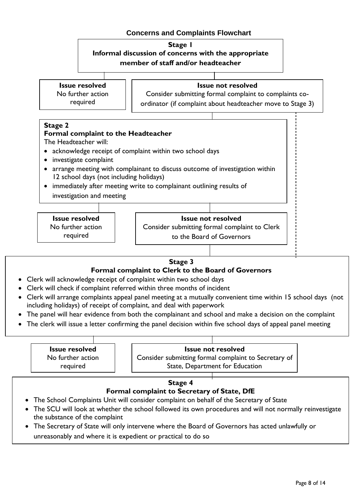# **Concerns and Complaints Flowchart**





#### **Stage 3**

# **Formal complaint to Clerk to the Board of Governors**

- Clerk will acknowledge receipt of complaint within two school days
- Clerk will check if complaint referred within three months of incident
- including holidays) of receipt of complaint, and deal with paperwork Clerk will arrange complaints appeal panel meeting at a mutually convenient time within 15 school days (not
- The panel will hear evidence from both the complainant and school and make a decision on the complaint
- The clerk will issue a letter confirming the panel decision within five school days of appeal panel meeting

| <b>Issue resolved</b> | <b>Issue not resolved</b>                            |
|-----------------------|------------------------------------------------------|
| No further action     | Consider submitting formal complaint to Secretary of |
| required              | State, Department for Education                      |

#### **Stage 4**

#### **Formal complaint to Secretary of State, DfE**

- The School Complaints Unit will consider complaint on behalf of the Secretary of State
- the substance of the complaint The SCU will look at whether the school followed its own procedures and will not normally reinvestigate
- The Secretary of State will only intervene where the Board of Governors has acted unlawfully or unreasonably and where it is expedient or practical to do so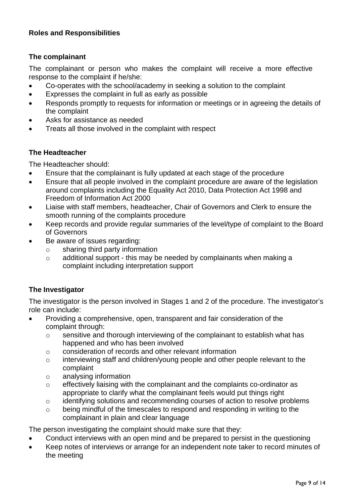## **Roles and Responsibilities**

### **The complainant**

The complainant or person who makes the complaint will receive a more effective response to the complaint if he/she:

- Co-operates with the school/academy in seeking a solution to the complaint
- Expresses the complaint in full as early as possible
- Responds promptly to requests for information or meetings or in agreeing the details of the complaint
- A*s*ks for assistance as needed
- Treats all those involved in the complaint with respect

### **The Headteacher**

The Headteacher should:

- Ensure that the complainant is fully updated at each stage of the procedure
- Ensure that all people involved in the complaint procedure are aware of the legislation around complaints including the Equality Act 2010, Data Protection Act 1998 and Freedom of Information Act 2000
- Liaise with staff members, headteacher, Chair of Governors and Clerk to ensure the smooth running of the complaints procedure
- Keep records and provide regular summaries of the level/type of complaint to the Board of Governors
- Be aware of issues regarding:
	- o sharing third party information
	- o additional support this may be needed by complainants when making a complaint including interpretation support

## **The Investigator**

The investigator is the person involved in Stages 1 and 2 of the procedure. The investigator's role can include:

- Providing a comprehensive, open, transparent and fair consideration of the complaint through:
	- o sensitive and thorough interviewing of the complainant to establish what has happened and who has been involved
	- o consideration of records and other relevant information
	- o interviewing staff and children/young people and other people relevant to the complaint
	- o analysing information
	- o effectively liaising with the complainant and the complaints co-ordinator as appropriate to clarify what the complainant feels would put things right
	- o identifying solutions and recommending courses of action to resolve problems
	- o being mindful of the timescales to respond and responding in writing to the complainant in plain and clear language

The person investigating the complaint should make sure that they:

- Conduct interviews with an open mind and be prepared to persist in the questioning
- Keep notes of interviews or arrange for an independent note taker to record minutes of the meeting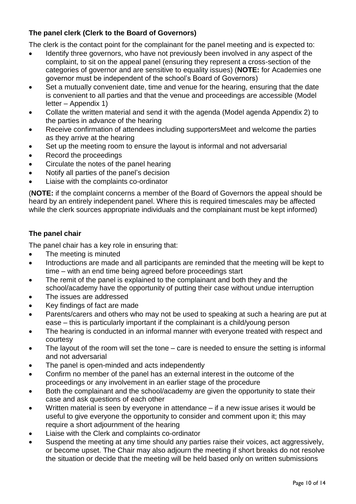# **The panel clerk (Clerk to the Board of Governors)**

The clerk is the contact point for the complainant for the panel meeting and is expected to:

- Identify three governors, who have not previously been involved in any aspect of the complaint, to sit on the appeal panel (ensuring they represent a cross-section of the categories of governor and are sensitive to equality issues) (**NOTE:** for Academies one governor must be independent of the school's Board of Governors)
- Set a mutually convenient date, time and venue for the hearing, ensuring that the date is convenient to all parties and that the venue and proceedings are accessible (Model letter – Appendix 1)
- Collate the written material and send it with the agenda (Model agenda Appendix 2) to the parties in advance of the hearing
- Receive confirmation of attendees including supportersMeet and welcome the parties as they arrive at the hearing
- Set up the meeting room to ensure the layout is informal and not adversarial
- Record the proceedings
- Circulate the notes of the panel hearing
- Notify all parties of the panel's decision
- Liaise with the complaints co-ordinator

(**NOTE:** if the complaint concerns a member of the Board of Governors the appeal should be heard by an entirely independent panel. Where this is required timescales may be affected while the clerk sources appropriate individuals and the complainant must be kept informed)

# **The panel chair**

The panel chair has a key role in ensuring that:

- The meeting is minuted
- Introductions are made and all participants are reminded that the meeting will be kept to time – with an end time being agreed before proceedings start
- The remit of the panel is explained to the complainant and both they and the school/academy have the opportunity of putting their case without undue interruption
- The issues are addressed
- Key findings of fact are made
- Parents/carers and others who may not be used to speaking at such a hearing are put at ease – this is particularly important if the complainant is a child/young person
- The hearing is conducted in an informal manner with everyone treated with respect and courtesy
- The layout of the room will set the tone care is needed to ensure the setting is informal and not adversarial
- The panel is open-minded and acts independently
- Confirm no member of the panel has an external interest in the outcome of the proceedings or any involvement in an earlier stage of the procedure
- Both the complainant and the school/academy are given the opportunity to state their case and ask questions of each other
- Written material is seen by everyone in attendance if a new issue arises it would be useful to give everyone the opportunity to consider and comment upon it; this may require a short adjournment of the hearing
- Liaise with the Clerk and complaints co-ordinator
- Suspend the meeting at any time should any parties raise their voices, act aggressively, or become upset. The Chair may also adjourn the meeting if short breaks do not resolve the situation or decide that the meeting will be held based only on written submissions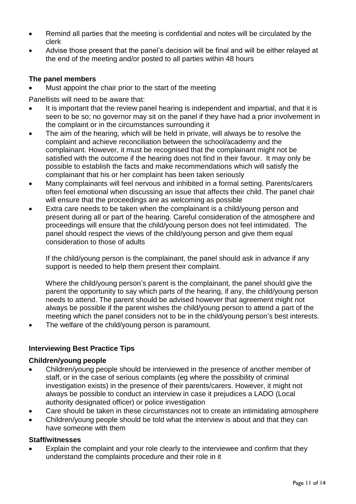- Remind all parties that the meeting is confidential and notes will be circulated by the clerk
- Advise those present that the panel's decision will be final and will be either relayed at the end of the meeting and/or posted to all parties within 48 hours

## **The panel members**

Must appoint the chair prior to the start of the meeting

Panellists will need to be aware that:

- It is important that the review panel hearing is independent and impartial, and that it is seen to be so; no governor may sit on the panel if they have had a prior involvement in the complaint or in the circumstances surrounding it
- The aim of the hearing, which will be held in private, will always be to resolve the complaint and achieve reconciliation between the school/academy and the complainant. However, it must be recognised that the complainant might not be satisfied with the outcome if the hearing does not find in their favour. It may only be possible to establish the facts and make recommendations which will satisfy the complainant that his or her complaint has been taken seriously
- Many complainants will feel nervous and inhibited in a formal setting. Parents/carers often feel emotional when discussing an issue that affects their child. The panel chair will ensure that the proceedings are as welcoming as possible
- Extra care needs to be taken when the complainant is a child/young person and present during all or part of the hearing. Careful consideration of the atmosphere and proceedings will ensure that the child/young person does not feel intimidated. The panel should respect the views of the child/young person and give them equal consideration to those of adults

If the child/young person is the complainant, the panel should ask in advance if any support is needed to help them present their complaint.

Where the child/young person's parent is the complainant, the panel should give the parent the opportunity to say which parts of the hearing, if any, the child/young person needs to attend. The parent should be advised however that agreement might not always be possible if the parent wishes the child/young person to attend a part of the meeting which the panel considers not to be in the child/young person's best interests.

The welfare of the child/young person is paramount.

# **Interviewing Best Practice Tips**

#### **Children/young people**

- Children/young people should be interviewed in the presence of another member of staff, or in the case of serious complaints (eg where the possibility of criminal investigation exists) in the presence of their parents/carers. However, it might not always be possible to conduct an interview in case it prejudices a LADO (Local authority designated officer) or police investigation
- Care should be taken in these circumstances not to create an intimidating atmosphere
- Children/young people should be told what the interview is about and that they can have someone with them

## **Staff/witnesses**

 Explain the complaint and your role clearly to the interviewee and confirm that they understand the complaints procedure and their role in it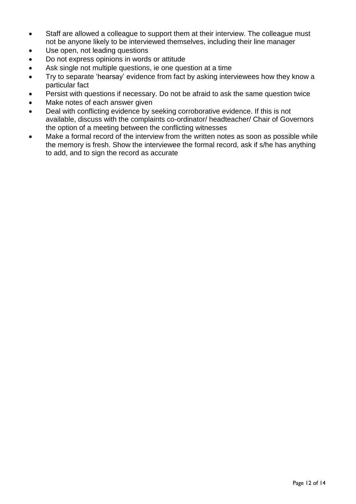- Staff are allowed a colleague to support them at their interview. The colleague must not be anyone likely to be interviewed themselves, including their line manager
- Use open, not leading questions
- Do not express opinions in words or attitude
- Ask single not multiple questions, ie one question at a time
- Try to separate 'hearsay' evidence from fact by asking interviewees how they know a particular fact
- Persist with questions if necessary. Do not be afraid to ask the same question twice
- Make notes of each answer given
- Deal with conflicting evidence by seeking corroborative evidence. If this is not available, discuss with the complaints co-ordinator/ headteacher/ Chair of Governors the option of a meeting between the conflicting witnesses
- Make a formal record of the interview from the written notes as soon as possible while the memory is fresh. Show the interviewee the formal record, ask if s/he has anything to add, and to sign the record as accurate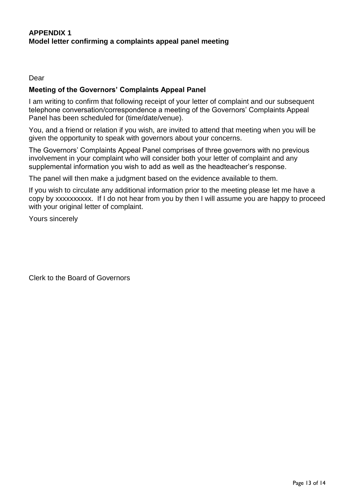#### Dear

#### **Meeting of the Governors' Complaints Appeal Panel**

I am writing to confirm that following receipt of your letter of complaint and our subsequent telephone conversation/correspondence a meeting of the Governors' Complaints Appeal Panel has been scheduled for (time/date/venue).

You, and a friend or relation if you wish, are invited to attend that meeting when you will be given the opportunity to speak with governors about your concerns.

The Governors' Complaints Appeal Panel comprises of three governors with no previous involvement in your complaint who will consider both your letter of complaint and any supplemental information you wish to add as well as the headteacher's response.

The panel will then make a judgment based on the evidence available to them.

If you wish to circulate any additional information prior to the meeting please let me have a copy by xxxxxxxxxx. If I do not hear from you by then I will assume you are happy to proceed with your original letter of complaint.

Yours sincerely

Clerk to the Board of Governors